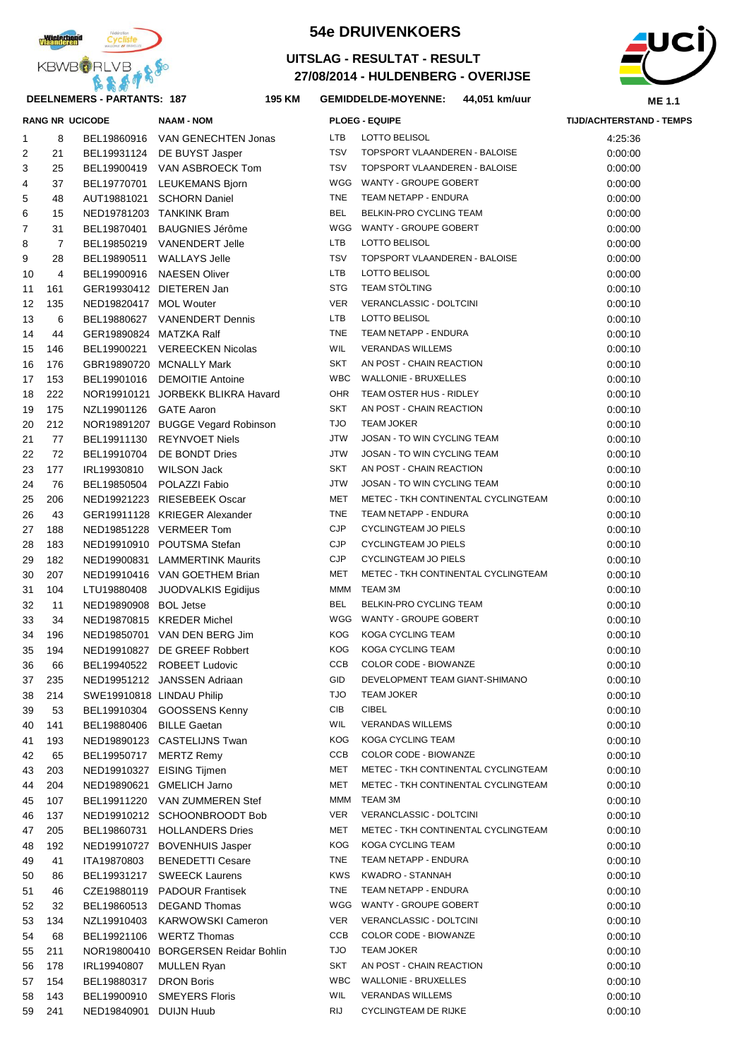

#### **DEELNEMERS - PARTANTS: 187 195**

## **54e DRUIVENKOERS**

#### **27/08/2014 - HULDENBERG - OVERIJSE UITSLAG - RESULTAT - RESULT**



#### **KM GEMIDDELDE-MOYENNE: 44,051 km/uur**

|    |     | <b>RANG NR UCICODE</b>    | <b>NAAM - NOM</b>                   |            | <b>PLOEG - EQUIPE</b>               | <b>TIJD/ACHTERSTAND - TEMPS</b> |
|----|-----|---------------------------|-------------------------------------|------------|-------------------------------------|---------------------------------|
| 1  | 8   |                           | BEL19860916 VAN GENECHTEN Jonas     | LTB        | LOTTO BELISOL                       | 4:25:36                         |
| 2  | 21  |                           | BEL19931124 DE BUYST Jasper         | <b>TSV</b> | TOPSPORT VLAANDEREN - BALOISE       | 0:00:00                         |
| 3  | 25  |                           | BEL19900419 VAN ASBROECK Tom        | <b>TSV</b> | TOPSPORT VLAANDEREN - BALOISE       | 0:00:00                         |
| 4  | 37  |                           | BEL19770701 LEUKEMANS Bjorn         |            | WGG WANTY - GROUPE GOBERT           | 0:00:00                         |
| 5  | 48  |                           | AUT19881021 SCHORN Daniel           | <b>TNE</b> | TEAM NETAPP - ENDURA                | 0:00:00                         |
| 6  | 15  |                           | NED19781203 TANKINK Bram            | <b>BEL</b> | BELKIN-PRO CYCLING TEAM             | 0:00:00                         |
| 7  | 31  |                           | BEL19870401 BAUGNIES Jérôme         |            | WGG WANTY - GROUPE GOBERT           | 0:00:00                         |
| 8  | 7   |                           | BEL19850219 VANENDERT Jelle         | LTB        | LOTTO BELISOL                       | 0:00:00                         |
| 9  | 28  |                           | BEL19890511 WALLAYS Jelle           | TSV        | TOPSPORT VLAANDEREN - BALOISE       | 0:00:00                         |
| 10 | 4   |                           | BEL19900916 NAESEN Oliver           | LTB        | LOTTO BELISOL                       | 0:00:00                         |
| 11 | 161 |                           | GER19930412 DIETEREN Jan            | <b>STG</b> | <b>TEAM STÖLTING</b>                | 0:00:10                         |
| 12 | 135 | NED19820417 MOL Wouter    |                                     | <b>VER</b> | VERANCLASSIC - DOLTCINI             | 0:00:10                         |
| 13 | 6   |                           | BEL19880627 VANENDERT Dennis        | LTB        | LOTTO BELISOL                       | 0:00:10                         |
| 14 | 44  | GER19890824 MATZKA Ralf   |                                     | <b>TNE</b> | TEAM NETAPP - ENDURA                | 0:00:10                         |
| 15 | 146 |                           | BEL19900221 VEREECKEN Nicolas       | WIL        | <b>VERANDAS WILLEMS</b>             | 0:00:10                         |
| 16 | 176 |                           | GBR19890720 MCNALLY Mark            | SKT        | AN POST - CHAIN REACTION            | 0:00:10                         |
| 17 | 153 |                           | BEL19901016 DEMOITIE Antoine        | <b>WBC</b> | <b>WALLONIE - BRUXELLES</b>         | 0:00:10                         |
| 18 | 222 |                           | NOR19910121 JORBEKK BLIKRA Havard   | OHR        | TEAM OSTER HUS - RIDLEY             | 0:00:10                         |
| 19 | 175 | NZL19901126 GATE Aaron    |                                     | SKT        | AN POST - CHAIN REACTION            | 0:00:10                         |
| 20 | 212 |                           | NOR19891207 BUGGE Vegard Robinson   | <b>OLT</b> | <b>TEAM JOKER</b>                   | 0:00:10                         |
| 21 | 77  |                           | BEL19911130 REYNVOET Niels          | <b>JTW</b> | JOSAN - TO WIN CYCLING TEAM         | 0:00:10                         |
| 22 | 72  |                           | BEL19910704 DE BONDT Dries          | <b>JTW</b> | JOSAN - TO WIN CYCLING TEAM         | 0:00:10                         |
| 23 | 177 | IRL19930810               | WILSON Jack                         | SKT        | AN POST - CHAIN REACTION            | 0:00:10                         |
| 24 | 76  |                           | BEL19850504 POLAZZI Fabio           | <b>JTW</b> | JOSAN - TO WIN CYCLING TEAM         | 0:00:10                         |
| 25 | 206 |                           | NED19921223 RIESEBEEK Oscar         | MET        | METEC - TKH CONTINENTAL CYCLINGTEAM | 0:00:10                         |
| 26 | 43  |                           | GER19911128 KRIEGER Alexander       | <b>TNE</b> | TEAM NETAPP - ENDURA                | 0:00:10                         |
| 27 | 188 |                           | NED19851228 VERMEER Tom             | <b>CJP</b> | <b>CYCLINGTEAM JO PIELS</b>         | 0:00:10                         |
| 28 | 183 |                           | NED19910910 POUTSMA Stefan          | <b>CJP</b> | <b>CYCLINGTEAM JO PIELS</b>         | 0:00:10                         |
| 29 | 182 |                           | NED19900831 LAMMERTINK Maurits      | <b>CJP</b> | <b>CYCLINGTEAM JO PIELS</b>         | 0:00:10                         |
| 30 | 207 |                           | NED19910416 VAN GOETHEM Brian       | MET        | METEC - TKH CONTINENTAL CYCLINGTEAM | 0:00:10                         |
| 31 | 104 | LTU19880408               | JUODVALKIS Egidijus                 | МММ        | TEAM 3M                             | 0:00:10                         |
| 32 | 11  | NED19890908 BOL Jetse     |                                     | BEL        | BELKIN-PRO CYCLING TEAM             | 0:00:10                         |
| 33 | 34  |                           | NED19870815 KREDER Michel           |            | WGG WANTY - GROUPE GOBERT           | 0:00:10                         |
| 34 | 196 |                           | NED19850701 VAN DEN BERG Jim        | KOG        | KOGA CYCLING TEAM                   | 0:00:10                         |
| 35 | 194 |                           | NED19910827 DE GREEF Robbert        | <b>KOG</b> | KOGA CYCLING TEAM                   | 0:00:10                         |
| 36 | 66  |                           | BEL19940522 ROBEET Ludovic          | CCB        | COLOR CODE - BIOWANZE               | 0:00:10                         |
| 37 | 235 |                           | NED19951212 JANSSEN Adriaan         | GID        | DEVELOPMENT TEAM GIANT-SHIMANO      | 0:00:10                         |
| 38 | 214 | SWE19910818 LINDAU Philip |                                     | <b>TJO</b> | TEAM JOKER                          | 0:00:10                         |
| 39 | 53  |                           | BEL19910304 GOOSSENS Kenny          | CIB        | <b>CIBEL</b>                        | 0:00:10                         |
| 40 | 141 | BEL19880406 BILLE Gaetan  |                                     | WIL        | <b>VERANDAS WILLEMS</b>             | 0:00:10                         |
| 41 | 193 |                           | NED19890123 CASTELIJNS Twan         | KOG        | KOGA CYCLING TEAM                   | 0:00:10                         |
| 42 | 65  | BEL19950717               | <b>MERTZ Remy</b>                   | CCB        | COLOR CODE - BIOWANZE               | 0:00:10                         |
| 43 | 203 |                           | NED19910327 EISING Tijmen           | MET        | METEC - TKH CONTINENTAL CYCLINGTEAM | 0:00:10                         |
| 44 | 204 |                           | NED19890621 GMELICH Jarno           | MET        | METEC - TKH CONTINENTAL CYCLINGTEAM | 0:00:10                         |
| 45 | 107 | BEL19911220               | VAN ZUMMEREN Stef                   | MMM        | TEAM 3M                             | 0:00:10                         |
| 46 | 137 |                           | NED19910212 SCHOONBROODT Bob        | VER        | VERANCLASSIC - DOLTCINI             | 0:00:10                         |
| 47 | 205 | BEL19860731               | <b>HOLLANDERS Dries</b>             | MET        | METEC - TKH CONTINENTAL CYCLINGTEAM | 0:00:10                         |
| 48 | 192 |                           | NED19910727 BOVENHUIS Jasper        | KOG        | KOGA CYCLING TEAM                   | 0:00:10                         |
| 49 | 41  | ITA19870803               | <b>BENEDETTI Cesare</b>             | TNE        | TEAM NETAPP - ENDURA                | 0:00:10                         |
| 50 | 86  | BEL19931217               | <b>SWEECK Laurens</b>               | KWS        | KWADRO - STANNAH                    | 0:00:10                         |
| 51 | 46  |                           | CZE19880119 PADOUR Frantisek        | TNE        | TEAM NETAPP - ENDURA                | 0:00:10                         |
| 52 | 32  |                           | BEL19860513 DEGAND Thomas           | WGG        | WANTY - GROUPE GOBERT               | 0:00:10                         |
| 53 | 134 | NZL19910403               | <b>KARWOWSKI Cameron</b>            | VER        | VERANCLASSIC - DOLTCINI             | 0:00:10                         |
| 54 | 68  | BEL19921106               | <b>WERTZ Thomas</b>                 | CCB        | COLOR CODE - BIOWANZE               | 0:00:10                         |
| 55 | 211 |                           | NOR19800410 BORGERSEN Reidar Bohlin | <b>OLT</b> | <b>TEAM JOKER</b>                   | 0:00:10                         |
| 56 | 178 | IRL19940807               | <b>MULLEN Ryan</b>                  | SKT        | AN POST - CHAIN REACTION            | 0:00:10                         |
| 57 | 154 | BEL19880317               | <b>DRON Boris</b>                   | WBC        | WALLONIE - BRUXELLES                | 0:00:10                         |
| 58 | 143 | BEL19900910               | <b>SMEYERS Floris</b>               | WIL        | <b>VERANDAS WILLEMS</b>             | 0:00:10                         |
| 59 | 241 | NED19840901 DUIJN Huub    |                                     | RIJ        | <b>CYCLINGTEAM DE RIJKE</b>         | 0:00:10                         |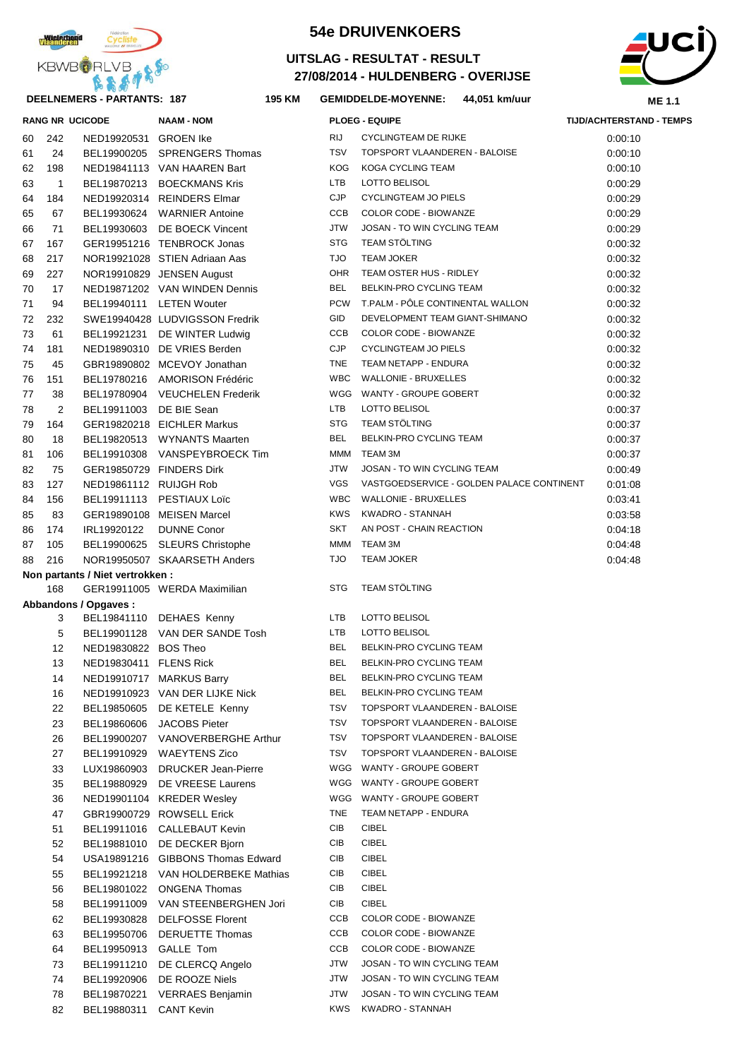

#### **DEELNEMERS - PARTANTS: 187 195**

## **54e DRUIVENKOERS**

### **27/08/2014 - HULDENBERG - OVERIJSE UITSLAG - RESULTAT - RESULT**



#### **KM GEMIDDELDE-MOYENNE: 44,051 km/uur**

|    |              | <b>RANG NR UCICODE</b>           | <b>NAAM - NOM</b>                  |            | <b>PLOEG - EQUIPE</b>                     | <b>TIJD/ACHTERSTAND - TEMPS</b> |  |
|----|--------------|----------------------------------|------------------------------------|------------|-------------------------------------------|---------------------------------|--|
| 60 | 242          | NED19920531 GROEN Ike            |                                    | RIJ        | <b>CYCLINGTEAM DE RIJKE</b>               | 0:00:10                         |  |
| 61 | 24           |                                  | BEL19900205 SPRENGERS Thomas       | <b>TSV</b> | TOPSPORT VLAANDEREN - BALOISE             | 0:00:10                         |  |
| 62 | 198          |                                  | NED19841113 VAN HAAREN Bart        | <b>KOG</b> | KOGA CYCLING TEAM                         | 0:00:10                         |  |
| 63 | $\mathbf{1}$ |                                  | BEL19870213 BOECKMANS Kris         | LTB        | LOTTO BELISOL                             | 0:00:29                         |  |
| 64 | 184          |                                  | NED19920314 REINDERS Elmar         | <b>CJP</b> | CYCLINGTEAM JO PIELS                      | 0:00:29                         |  |
| 65 | 67           |                                  | BEL19930624 WARNIER Antoine        | CCB        | COLOR CODE - BIOWANZE                     | 0:00:29                         |  |
| 66 | 71           |                                  | BEL19930603 DE BOECK Vincent       | <b>JTW</b> | JOSAN - TO WIN CYCLING TEAM               | 0:00:29                         |  |
| 67 | 167          |                                  | GER19951216 TENBROCK Jonas         | <b>STG</b> | <b>TEAM STÖLTING</b>                      | 0:00:32                         |  |
| 68 | 217          |                                  | NOR19921028 STIEN Adriaan Aas      | <b>TJO</b> | <b>TEAM JOKER</b>                         | 0:00:32                         |  |
| 69 | 227          |                                  | NOR19910829 JENSEN August          | OHR        | TEAM OSTER HUS - RIDLEY                   | 0:00:32                         |  |
| 70 | 17           |                                  | NED19871202 VAN WINDEN Dennis      | BEL        | BELKIN-PRO CYCLING TEAM                   | 0:00:32                         |  |
| 71 | 94           | BEL19940111 LETEN Wouter         |                                    | <b>PCW</b> | T.PALM - PÖLE CONTINENTAL WALLON          | 0:00:32                         |  |
| 72 | 232          |                                  | SWE19940428 LUDVIGSSON Fredrik     | GID        | DEVELOPMENT TEAM GIANT-SHIMANO            | 0:00:32                         |  |
| 73 | 61           |                                  | BEL19921231 DE WINTER Ludwig       | CCB        | COLOR CODE - BIOWANZE                     | 0:00:32                         |  |
| 74 | 181          |                                  | NED19890310 DE VRIES Berden        | <b>CJP</b> | CYCLINGTEAM JO PIELS                      | 0:00:32                         |  |
| 75 | 45           |                                  | GBR19890802 MCEVOY Jonathan        | TNE        | TEAM NETAPP - ENDURA                      | 0:00:32                         |  |
| 76 | 151          |                                  | BEL19780216 AMORISON Frédéric      | WBC        | <b>WALLONIE - BRUXELLES</b>               | 0:00:32                         |  |
| 77 | 38           |                                  | BEL19780904 VEUCHELEN Frederik     |            | WGG WANTY - GROUPE GOBERT                 | 0:00:32                         |  |
| 78 | 2            | BEL19911003 DE BIE Sean          |                                    | LTB        | LOTTO BELISOL                             | 0:00:37                         |  |
| 79 | 164          |                                  | GER19820218 EICHLER Markus         | <b>STG</b> | <b>TEAM STÖLTING</b>                      | 0:00:37                         |  |
| 80 | 18           |                                  | BEL19820513 WYNANTS Maarten        | <b>BEL</b> | BELKIN-PRO CYCLING TEAM                   | 0:00:37                         |  |
| 81 | 106          |                                  | BEL19910308 VANSPEYBROECK Tim      | MMM        | TEAM 3M                                   | 0:00:37                         |  |
| 82 | 75           | GER19850729 FINDERS Dirk         |                                    | <b>JTW</b> | JOSAN - TO WIN CYCLING TEAM               | 0:00:49                         |  |
| 83 | 127          | NED19861112 RUIJGH Rob           |                                    | <b>VGS</b> | VASTGOEDSERVICE - GOLDEN PALACE CONTINENT | 0:01:08                         |  |
| 84 | 156          |                                  | BEL19911113 PESTIAUX Loïc          | WBC        | <b>WALLONIE - BRUXELLES</b>               | 0:03:41                         |  |
| 85 | 83           |                                  | GER19890108 MEISEN Marcel          | <b>KWS</b> | KWADRO - STANNAH                          | 0:03:58                         |  |
| 86 | 174          | IRL19920122 DUNNE Conor          |                                    | SKT        | AN POST - CHAIN REACTION                  | 0:04:18                         |  |
| 87 | 105          |                                  | BEL19900625 SLEURS Christophe      | MMM        | TEAM 3M                                   | 0:04:48                         |  |
| 88 | 216          |                                  | NOR19950507 SKAARSETH Anders       | OLT        | <b>TEAM JOKER</b>                         | 0:04:48                         |  |
|    |              | Non partants / Niet vertrokken : |                                    |            |                                           |                                 |  |
|    | 168          |                                  | GER19911005 WERDA Maximilian       | <b>STG</b> | TEAM STÖLTING                             |                                 |  |
|    |              | Abbandons / Opgaves :            |                                    |            |                                           |                                 |  |
|    | 3            |                                  | BEL19841110 DEHAES Kenny           | LTB        | LOTTO BELISOL                             |                                 |  |
|    | 5            |                                  | BEL19901128 VAN DER SANDE Tosh     | <b>LTB</b> | LOTTO BELISOL                             |                                 |  |
|    | 12           | NED19830822 BOS Theo             |                                    | <b>BEL</b> | BELKIN-PRO CYCLING TEAM                   |                                 |  |
|    | 13           | NED19830411 FLENS Rick           |                                    | BEL        | BELKIN-PRO CYCLING TEAM                   |                                 |  |
|    | 14           |                                  | NED19910717 MARKUS Barry           | <b>BEL</b> | BELKIN-PRO CYCLING TEAM                   |                                 |  |
|    | 16           |                                  | NED19910923 VAN DER LIJKE Nick     | BEL        | BELKIN-PRO CYCLING TEAM                   |                                 |  |
|    | 22           |                                  | BEL19850605 DE KETELE Kenny        | TSV        | TOPSPORT VLAANDEREN - BALOISE             |                                 |  |
|    | 23           |                                  | BEL19860606 JACOBS Pieter          | TSV        | TOPSPORT VLAANDEREN - BALOISE             |                                 |  |
|    | 26           |                                  | BEL19900207 VANOVERBERGHE Arthur   | TSV        | TOPSPORT VLAANDEREN - BALOISE             |                                 |  |
|    | 27           |                                  | BEL19910929 WAEYTENS Zico          | TSV        | TOPSPORT VLAANDEREN - BALOISE             |                                 |  |
|    | 33           |                                  | LUX19860903 DRUCKER Jean-Pierre    |            | WGG WANTY - GROUPE GOBERT                 |                                 |  |
|    | 35           |                                  | BEL19880929 DE VREESE Laurens      |            | WGG WANTY - GROUPE GOBERT                 |                                 |  |
|    | 36           |                                  | NED19901104 KREDER Wesley          |            | WGG WANTY - GROUPE GOBERT                 |                                 |  |
|    | 47           |                                  | GBR19900729 ROWSELL Erick          | <b>TNE</b> | TEAM NETAPP - ENDURA                      |                                 |  |
|    | 51           |                                  | BEL19911016 CALLEBAUT Kevin        | CIB        | <b>CIBEL</b>                              |                                 |  |
|    | 52           |                                  | BEL19881010 DE DECKER Bjorn        | CIB        | <b>CIBEL</b>                              |                                 |  |
|    | 54           |                                  | USA19891216 GIBBONS Thomas Edward  | CIB        | <b>CIBEL</b>                              |                                 |  |
|    | 55           |                                  | BEL19921218 VAN HOLDERBEKE Mathias | CIB        | <b>CIBEL</b>                              |                                 |  |
|    | 56           |                                  | BEL19801022 ONGENA Thomas          | CIB        | <b>CIBEL</b>                              |                                 |  |
|    | 58           |                                  | BEL19911009 VAN STEENBERGHEN Jori  | CIB        | <b>CIBEL</b>                              |                                 |  |
|    | 62           |                                  | BEL19930828 DELFOSSE Florent       | CCB        | COLOR CODE - BIOWANZE                     |                                 |  |
|    | 63           |                                  | BEL19950706 DERUETTE Thomas        | CCB        | COLOR CODE - BIOWANZE                     |                                 |  |
|    | 64           | BEL19950913 GALLE Tom            |                                    | CCB        | COLOR CODE - BIOWANZE                     |                                 |  |
|    | 73           |                                  | BEL19911210 DE CLERCQ Angelo       | JTW        | JOSAN - TO WIN CYCLING TEAM               |                                 |  |
|    | 74           |                                  | BEL19920906 DE ROOZE Niels         | JTW        | JOSAN - TO WIN CYCLING TEAM               |                                 |  |
|    | 78           |                                  | BEL19870221 VERRAES Benjamin       | JTW        | JOSAN - TO WIN CYCLING TEAM               |                                 |  |
|    | 82           | BEL19880311 CANT Kevin           |                                    | KWS        | KWADRO - STANNAH                          |                                 |  |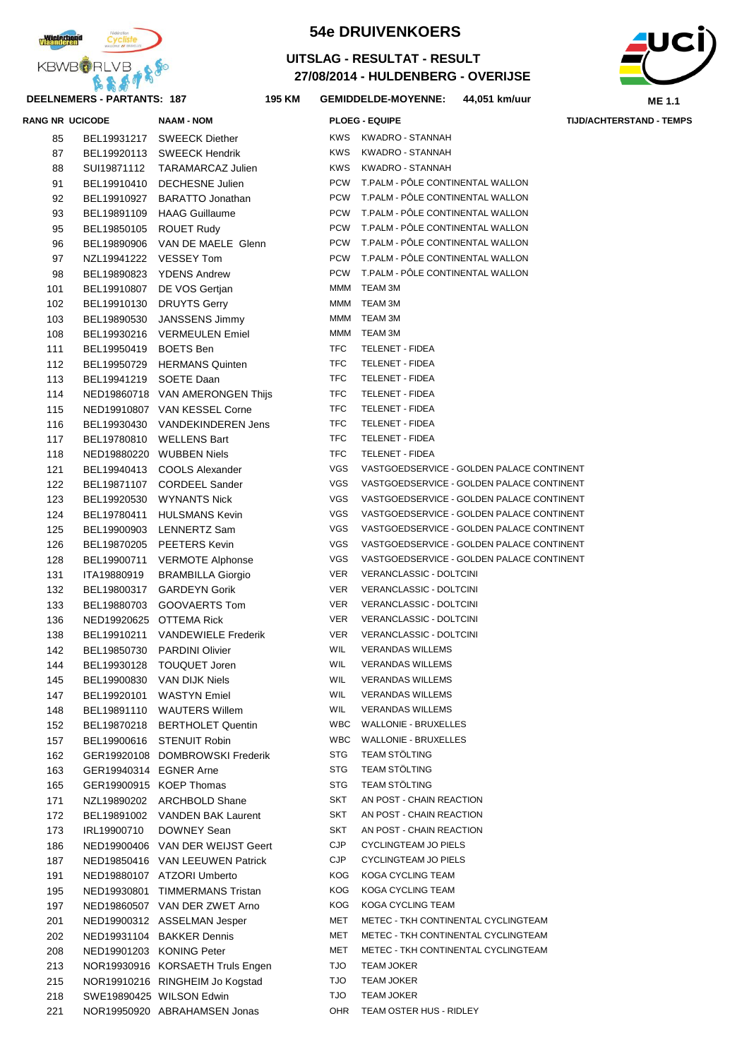

### **DEELNEMERS - PARTANTS: 187 195**

# **54e DRUIVENKOERS**

## **27/08/2014 - HULDENBERG - OVERIJSE UITSLAG - RESULTAT - RESULT**



**KM GEMIDDELDE-MOYENNE: 44,051 km/uur**

|     | <b>RANG NR UCICODE</b>  | <b>NAAM - NOM</b>                                       |            | <b>PLOEG - EQUIPE</b>                     | <b>TIJD/ACHTERSTAND - TEMPS</b> |
|-----|-------------------------|---------------------------------------------------------|------------|-------------------------------------------|---------------------------------|
| 85  |                         | BEL19931217 SWEECK Diether                              |            | KWS KWADRO - STANNAH                      |                                 |
| 87  |                         | BEL19920113 SWEECK Hendrik                              | <b>KWS</b> | KWADRO - STANNAH                          |                                 |
| 88  | SUI19871112             | TARAMARCAZ Julien                                       | KWS        | KWADRO - STANNAH                          |                                 |
| 91  |                         | BEL19910410 DECHESNE Julien                             | <b>PCW</b> | T.PALM - PÔLE CONTINENTAL WALLON          |                                 |
| 92  | BEL19910927             | <b>BARATTO Jonathan</b>                                 | <b>PCW</b> | T.PALM - PÖLE CONTINENTAL WALLON          |                                 |
| 93  |                         | BEL19891109 HAAG Guillaume                              | <b>PCW</b> | T.PALM - PÔLE CONTINENTAL WALLON          |                                 |
| 95  | BEL19850105 ROUET Rudy  |                                                         | <b>PCW</b> | T.PALM - PÔLE CONTINENTAL WALLON          |                                 |
|     | BEL19890906             |                                                         | <b>PCW</b> | T.PALM - PÔLE CONTINENTAL WALLON          |                                 |
| 96  |                         | VAN DE MAELE Glenn                                      | <b>PCW</b> | T.PALM - PÔLE CONTINENTAL WALLON          |                                 |
| 97  | NZL19941222 VESSEY Tom  |                                                         | <b>PCW</b> | T.PALM - PÔLE CONTINENTAL WALLON          |                                 |
| 98  |                         | BEL19890823 YDENS Andrew                                |            |                                           |                                 |
| 101 |                         | BEL19910807 DE VOS Gertjan                              | MMM        | <b>TEAM 3M</b>                            |                                 |
| 102 |                         | BEL19910130 DRUYTS Gerry                                | MMM        | <b>TEAM 3M</b>                            |                                 |
| 103 | BEL19890530             | JANSSENS Jimmy                                          | MMM        | TEAM 3M                                   |                                 |
| 108 |                         | BEL19930216 VERMEULEN Emiel                             | MMM        | TEAM 3M                                   |                                 |
| 111 | BEL19950419 BOETS Ben   |                                                         | <b>TFC</b> | TELENET - FIDEA                           |                                 |
| 112 |                         | BEL19950729 HERMANS Quinten                             | <b>TFC</b> | TELENET - FIDEA                           |                                 |
| 113 | BEL19941219 SOETE Daan  |                                                         | TFC        | <b>TELENET - FIDEA</b>                    |                                 |
| 114 |                         | NED19860718 VAN AMERONGEN Thijs                         | <b>TFC</b> | <b>TELENET - FIDEA</b>                    |                                 |
| 115 |                         | NED19910807 VAN KESSEL Corne                            | <b>TFC</b> | TELENET - FIDEA                           |                                 |
| 116 |                         | BEL19930430 VANDEKINDEREN Jens                          | <b>TFC</b> | TELENET - FIDEA                           |                                 |
| 117 |                         | BEL19780810 WELLENS Bart                                | <b>TFC</b> | <b>TELENET - FIDEA</b>                    |                                 |
| 118 |                         | NED19880220 WUBBEN Niels                                | <b>TFC</b> | TELENET - FIDEA                           |                                 |
| 121 |                         | BEL19940413 COOLS Alexander                             | <b>VGS</b> | VASTGOEDSERVICE - GOLDEN PALACE CONTINENT |                                 |
| 122 |                         | BEL19871107 CORDEEL Sander                              | <b>VGS</b> | VASTGOEDSERVICE - GOLDEN PALACE CONTINENT |                                 |
| 123 |                         | BEL19920530 WYNANTS Nick                                | VGS        | VASTGOEDSERVICE - GOLDEN PALACE CONTINENT |                                 |
| 124 | BEL19780411             | <b>HULSMANS Kevin</b>                                   | VGS        | VASTGOEDSERVICE - GOLDEN PALACE CONTINENT |                                 |
| 125 |                         | BEL19900903 LENNERTZ Sam                                | VGS        | VASTGOEDSERVICE - GOLDEN PALACE CONTINENT |                                 |
| 126 | BEL19870205             | <b>PEETERS Kevin</b>                                    | VGS        | VASTGOEDSERVICE - GOLDEN PALACE CONTINENT |                                 |
| 128 | BEL19900711             | VERMOTE Alphonse                                        | VGS        | VASTGOEDSERVICE - GOLDEN PALACE CONTINENT |                                 |
| 131 | ITA19880919             | <b>BRAMBILLA Giorgio</b>                                | VER        | VERANCLASSIC - DOLTCINI                   |                                 |
| 132 | BEL19800317             | <b>GARDEYN Gorik</b>                                    | VER        | VERANCLASSIC - DOLTCINI                   |                                 |
| 133 | BEL19880703             | GOOVAERTS Tom                                           | VER        | VERANCLASSIC - DOLTCINI                   |                                 |
| 136 | NED19920625 OTTEMA Rick |                                                         | VER        | VERANCLASSIC - DOLTCINI                   |                                 |
| 138 |                         | BEL19910211 VANDEWIELE Frederik                         | VER        | VERANCLASSIC - DOLTCINI                   |                                 |
| 142 |                         | BEL19850730 PARDINI Olivier                             | <b>WIL</b> | <b>VERANDAS WILLEMS</b>                   |                                 |
| 144 |                         |                                                         | WIL        | <b>VERANDAS WILLEMS</b>                   |                                 |
|     |                         | BEL19930128 TOUQUET Joren<br>BEL19900830 VAN DIJK Niels | WIL        | <b>VERANDAS WILLEMS</b>                   |                                 |
| 145 |                         |                                                         |            |                                           |                                 |
| 147 |                         | BEL19920101 WASTYN Emiel                                | WIL        | <b>VERANDAS WILLEMS</b>                   |                                 |
| 148 |                         | BEL19891110 WAUTERS Willem                              | WIL        | <b>VERANDAS WILLEMS</b>                   |                                 |
| 152 |                         | BEL19870218 BERTHOLET Quentin                           | WBC        | WALLONIE - BRUXELLES                      |                                 |
| 157 |                         | BEL19900616 STENUIT Robin                               | WBC        | <b>WALLONIE - BRUXELLES</b>               |                                 |
| 162 |                         | GER19920108 DOMBROWSKI Frederik                         | STG        | <b>TEAM STÖLTING</b>                      |                                 |
| 163 | GER19940314 EGNER Arne  |                                                         | STG        | TEAM STÖLTING                             |                                 |
| 165 |                         | GER19900915 KOEP Thomas                                 | STG        | TEAM STÖLTING                             |                                 |
| 171 |                         | NZL19890202 ARCHBOLD Shane                              | SKT        | AN POST - CHAIN REACTION                  |                                 |
| 172 |                         | BEL19891002 VANDEN BAK Laurent                          | SKT        | AN POST - CHAIN REACTION                  |                                 |
| 173 |                         | IRL19900710 DOWNEY Sean                                 | SKT        | AN POST - CHAIN REACTION                  |                                 |
| 186 |                         | NED19900406 VAN DER WEIJST Geert                        | <b>CJP</b> | CYCLINGTEAM JO PIELS                      |                                 |
| 187 |                         | NED19850416 VAN LEEUWEN Patrick                         | <b>CJP</b> | <b>CYCLINGTEAM JO PIELS</b>               |                                 |
| 191 |                         | NED19880107 ATZORI Umberto                              | KOG        | KOGA CYCLING TEAM                         |                                 |
| 195 |                         | NED19930801 TIMMERMANS Tristan                          | KOG        | KOGA CYCLING TEAM                         |                                 |
| 197 |                         | NED19860507 VAN DER ZWET Arno                           | KOG        | KOGA CYCLING TEAM                         |                                 |
| 201 |                         | NED19900312 ASSELMAN Jesper                             | MET        | METEC - TKH CONTINENTAL CYCLINGTEAM       |                                 |
| 202 |                         | NED19931104 BAKKER Dennis                               | MET        | METEC - TKH CONTINENTAL CYCLINGTEAM       |                                 |
| 208 |                         | NED19901203 KONING Peter                                | MET        | METEC - TKH CONTINENTAL CYCLINGTEAM       |                                 |
| 213 |                         | NOR19930916 KORSAETH Truls Engen                        | <b>TJO</b> | TEAM JOKER                                |                                 |
| 215 |                         | NOR19910216 RINGHEIM Jo Kogstad                         | <b>OLT</b> | TEAM JOKER                                |                                 |
| 218 |                         | SWE19890425 WILSON Edwin                                | <b>TJO</b> | TEAM JOKER                                |                                 |
| 221 |                         | NOR19950920 ABRAHAMSEN Jonas                            | OHR        | TEAM OSTER HUS - RIDLEY                   |                                 |